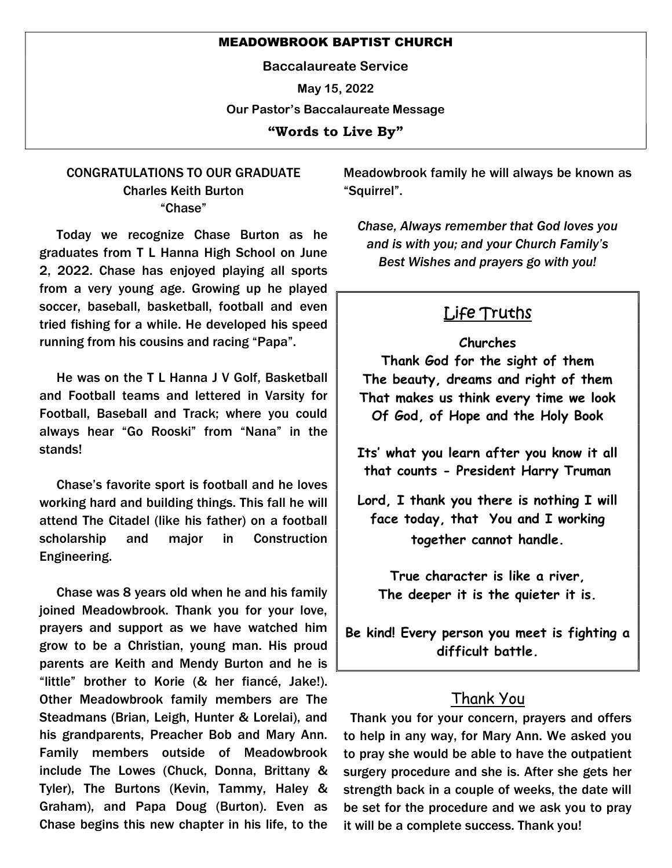#### MEADOWBROOK BAPTIST CHURCH

Baccalaureate Service

May 15, 2022

Our Pastor's Baccalaureate Message

"Words to Live By"

### CONGRATULATIONS TO OUR GRADUATE Charles Keith Burton "Chase"

 Today we recognize Chase Burton as he graduates from T L Hanna High School on June 2, 2022. Chase has enjoyed playing all sports from a very young age. Growing up he played soccer, baseball, basketball, football and even tried fishing for a while. He developed his speed running from his cousins and racing "Papa".

 He was on the T L Hanna J V Golf, Basketball and Football teams and lettered in Varsity for Football, Baseball and Track; where you could always hear "Go Rooski" from "Nana" in the stands!

 Chase's favorite sport is football and he loves working hard and building things. This fall he will attend The Citadel (like his father) on a football scholarship and major in Construction Engineering.

 Chase was 8 years old when he and his family joined Meadowbrook. Thank you for your love, prayers and support as we have watched him grow to be a Christian, young man. His proud parents are Keith and Mendy Burton and he is "little" brother to Korie (& her fiancé, Jake!). Other Meadowbrook family members are The Steadmans (Brian, Leigh, Hunter & Lorelai), and his grandparents, Preacher Bob and Mary Ann. Family members outside of Meadowbrook include The Lowes (Chuck, Donna, Brittany & Tyler), The Burtons (Kevin, Tammy, Haley & Graham), and Papa Doug (Burton). Even as Chase begins this new chapter in his life, to the

Meadowbrook family he will always be known as "Squirrel".

Chase, Always remember that God loves you and is with you; and your Church Family's Best Wishes and prayers go with you!

# Life Truths

### Churches

Thank God for the sight of them The beauty, dreams and right of them That makes us think every time we look Of God, of Hope and the Holy Book

Its' what you learn after you know it all that counts - President Harry Truman

Lord, I thank you there is nothing I will face today, that You and I working together cannot handle.

True character is like a river, The deeper it is the quieter it is.

Be kind! Every person you meet is fighting a difficult battle.

## Thank You

 Thank you for your concern, prayers and offers to help in any way, for Mary Ann. We asked you to pray she would be able to have the outpatient surgery procedure and she is. After she gets her strength back in a couple of weeks, the date will be set for the procedure and we ask you to pray it will be a complete success. Thank you!